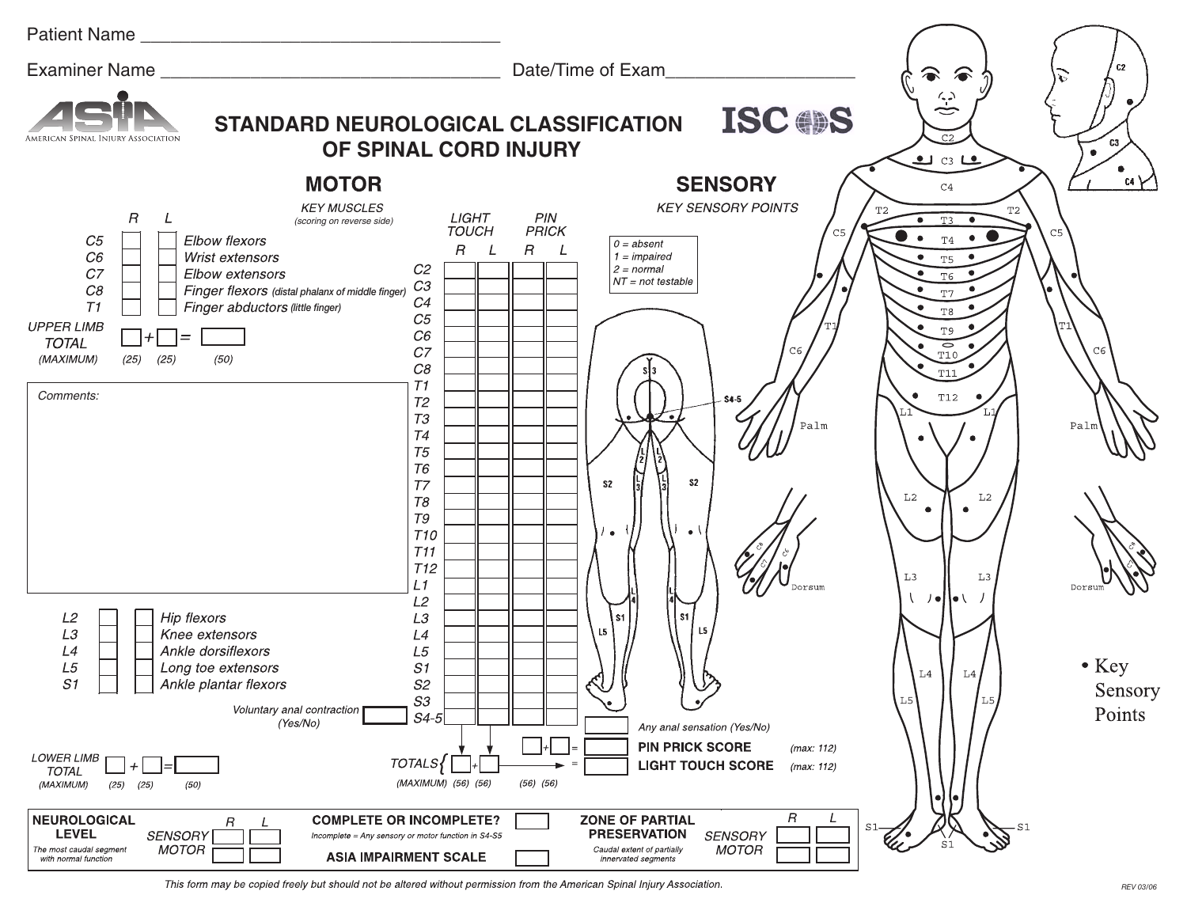| Patient Name                                                                                                                                                                                                                                                                                                                                                                                                                                                                                                                                              |                                                                                                                                                                                                                                                                             |                                                                                                                                                             |                                                               |
|-----------------------------------------------------------------------------------------------------------------------------------------------------------------------------------------------------------------------------------------------------------------------------------------------------------------------------------------------------------------------------------------------------------------------------------------------------------------------------------------------------------------------------------------------------------|-----------------------------------------------------------------------------------------------------------------------------------------------------------------------------------------------------------------------------------------------------------------------------|-------------------------------------------------------------------------------------------------------------------------------------------------------------|---------------------------------------------------------------|
| Examiner Name                                                                                                                                                                                                                                                                                                                                                                                                                                                                                                                                             | Date/Time of Exam                                                                                                                                                                                                                                                           |                                                                                                                                                             | C <sub>2</sub>                                                |
| <b>STANDARD NEUROLOGICAL CLASSIFICATION</b><br>OF SPINAL CORD INJURY                                                                                                                                                                                                                                                                                                                                                                                                                                                                                      | <b>ISC OS</b>                                                                                                                                                                                                                                                               | $\hat{y}$<br>C <sub>2</sub><br>$\bullet$ c3 Le                                                                                                              | C <sub>3</sub><br>$\bullet$                                   |
| <b>MOTOR</b><br><b>KEY MUSCLES</b><br>$\sqrt{R}$<br>LIGHT<br>L<br>(scoring on reverse side)<br><b>TOUCH</b><br>Elbow flexors<br>C5<br>$R$ $L$<br>C6<br>Wrist extensors<br>C2<br>C <sub>7</sub><br>Elbow extensors<br>CЗ<br>C8<br>Finger flexors (distal phalanx of middle finger)<br>C4<br>T1<br>Finger abductors (little finger)<br>C5<br><b>UPPER LIMB</b><br>$C6\,$<br>$+$<br>$=$ $=$<br><b>TOTAL</b><br>${\cal C}{\cal T}$<br>(MAXIMUM)<br>(25)<br>(25)<br>(50)<br>$C\mathcal{B}$<br>T1<br>Comments:<br>T2<br>T3<br>T4<br>T <sub>5</sub><br><b>T6</b> | <b>SENSORY</b><br><b>KEY SENSORY POINTS</b><br>PIN<br>PRICK<br>C5<br>$0 = absent$<br>$\,$ $\,$<br>$\perp$<br>$1 = impaired$<br>$2 = normal$<br>$NT = not testable$<br>C6<br>$S4-5$<br>Palm<br>S <sub>2</sub>                                                                | C4<br>T2<br>Т2<br>T3<br>$\rm T4$<br>T <sub>5</sub><br>T <sub>6</sub><br>T7<br>$\rm{T} \, 8$<br>T <sub>9</sub><br>$\circ$<br>T10<br><b>T11</b><br><b>T12</b> | $\alpha$ $\gamma$<br>C <sub>5</sub><br>C <sub>6</sub><br>Palı |
| T <sub>7</sub><br>T8<br>$\mathcal{T}\mathcal{G}$<br><b>T10</b><br>T11<br>T <sub>12</sub><br>L1<br>L2<br>L2<br>Hip flexors<br>L3<br>LЗ<br>Knee extensors<br>L4<br>L4<br>Ankle dorsiflexors<br>$\ensuremath{\mathsf{L}} 5$<br>L5<br>S1<br>Long toe extensors<br>S1<br>S2<br>Ankle plantar flexors<br>${\cal S}3$<br>Voluntary anal contraction                                                                                                                                                                                                              | S <sub>2</sub><br>$\bullet$<br>$\bullet$<br>  s1<br>s1<br>L5<br>L5<br>$\bullet/$                                                                                                                                                                                            | L <sub>2</sub><br>L2<br>L <sub>3</sub><br>L3<br>- /●   ● \__/<br>L4<br>L4<br>L5<br>L5                                                                       | $\bullet$ Key<br>Sensory                                      |
| $S4-5$<br>(Yes/No)<br><b>LOWER LIMB</b><br>TOTALS{<br>$\pmb{+}$<br><b>TOTAL</b><br>(MAXIMUM) (56) (56)<br>(MAXIMUM)<br>(25)<br>(25)<br>(50)<br>NEUROLOGICAL<br><b>COMPLETE OR INCOMPLETE?</b><br>R<br><b>LEVEL</b><br><b>SENSORY</b><br>Incomplete = Any sensory or motor function in S4-S5<br><b>MOTOR</b><br>The most caudal segment<br><b>ASIA IMPAIRMENT SCALE</b><br>with normal function                                                                                                                                                            | Any anal sensation (Yes/No)<br><b>PIN PRICK SCORE</b><br>(max: 112)<br><b>LIGHT TOUCH SCORE</b><br>(max: 112)<br>$(56)$ $(56)$<br>R<br><b>ZONE OF PARTIAL</b><br><b>PRESERVATION</b><br><b>SENSORY</b><br><b>MOTOR</b><br>Caudal extent of partially<br>innervated segments | $\bullet$<br>- S1<br>S1                                                                                                                                     | Points                                                        |

This form may be copied freely but should not be altered without permission from the American Spinal Injury Association.